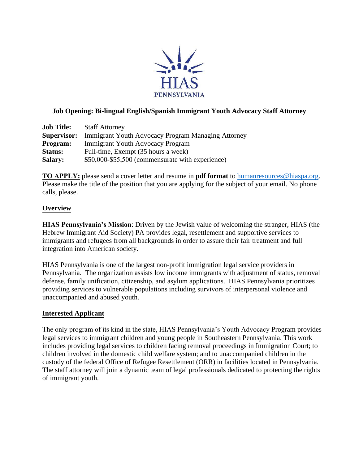

## **Job Opening: Bi-lingual English/Spanish Immigrant Youth Advocacy Staff Attorney**

| <b>Job Title:</b>  | <b>Staff Attorney</b>                                     |
|--------------------|-----------------------------------------------------------|
| <b>Supervisor:</b> | <b>Immigrant Youth Advocacy Program Managing Attorney</b> |
| <b>Program:</b>    | <b>Immigrant Youth Advocacy Program</b>                   |
| <b>Status:</b>     | Full-time, Exempt (35 hours a week)                       |
| <b>Salary:</b>     | \$50,000-\$55,500 (commensurate with experience)          |

**TO APPLY:** please send a cover letter and resume in **pdf format** [to humanresources@hiaspa](mailto:humanresources@hiaspa.org).org. Please make the title of the position that you are applying for the subject of your email. No phone calls, please.

## **Overview**

**HIAS Pennsylvania's Mission**: Driven by the Jewish value of welcoming the stranger, HIAS (the Hebrew Immigrant Aid Society) PA provides legal, resettlement and supportive services to immigrants and refugees from all backgrounds in order to assure their fair treatment and full integration into American society.

HIAS Pennsylvania is one of the largest non-profit immigration legal service providers in Pennsylvania. The organization assists low income immigrants with adjustment of status, removal defense, family unification, citizenship, and asylum applications. HIAS Pennsylvania prioritizes providing services to vulnerable populations including survivors of interpersonal violence and unaccompanied and abused youth.

#### **Interested Applicant**

The only program of its kind in the state, HIAS Pennsylvania's Youth Advocacy Program provides legal services to immigrant children and young people in Southeastern Pennsylvania. This work includes providing legal services to children facing removal proceedings in Immigration Court; to children involved in the domestic child welfare system; and to unaccompanied children in the custody of the federal Office of Refugee Resettlement (ORR) in facilities located in Pennsylvania. The staff attorney will join a dynamic team of legal professionals dedicated to protecting the rights of immigrant youth.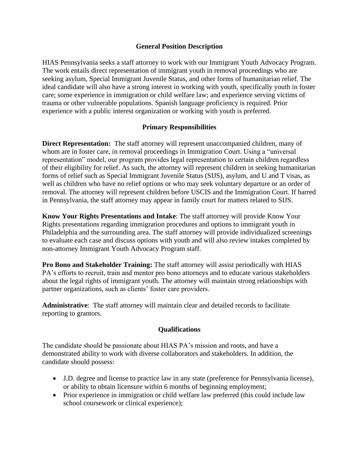## **General Position Description**

HIAS Pennsylvania seeks a staff attorney to work with our Immigrant Youth Advocacy Program. The work entails direct representation of immigrant youth in removal proceedings who are seeking asylum, Special Immigrant Juvenile Status, and other forms of humanitarian relief. The ideal candidate will also have a strong interest in working with youth, specifically youth in foster care; some experience in immigration or child welfare law; and experience serving victims of trauma or other vulnerable populations. Spanish language proficiency is required. Prior experience with a public interest organization or working with youth is preferred.

## **Primary Responsibilities**

**Direct Representation:** The staff attorney will represent unaccompanied children, many of whom are in foster care, in removal proceedings in Immigration Court. Using a "universal representation" model, our program provides legal representation to certain children regardless of their eligibility for relief. As such, the attorney will represent children in seeking humanitarian forms of relief such as Special Immigrant Juvenile Status (SIJS), asylum, and U and T visas, as well as children who have no relief options or who may seek voluntary departure or an order of removal. The attorney will represent children before USCIS and the Immigration Court. If barred in Pennsylvania, the staff attorney may appear in family court for matters related to SIJS.

**Know Your Rights Presentations and Intake**: The staff attorney will provide Know Your Rights presentations regarding immigration procedures and options to immigrant youth in Philadelphia and the surrounding area. The staff attorney will provide individualized screenings to evaluate each case and discuss options with youth and will also review intakes completed by non-attorney Immigrant Youth Advocacy Program staff.

**Pro Bono and Stakeholder Training:** The staff attorney will assist periodically with HIAS PA's efforts to recruit, train and mentor pro bono attorneys and to educate various stakeholders about the legal rights of immigrant youth. The attorney will maintain strong relationships with partner organizations, such as clients' foster care providers.

**Administrative**: The staff attorney will maintain clear and detailed records to facilitate reporting to grantors.

#### **Qualifications**

The candidate should be passionate about HIAS PA's mission and roots, and have a demonstrated ability to work with diverse collaborators and stakeholders. In addition, the candidate should possess:

- J.D. degree and license to practice law in any state (preference for Pennsylvania license), or ability to obtain licensure within 6 months of beginning employment;
- Prior experience in immigration or child welfare law preferred (this could include law school coursework or clinical experience);